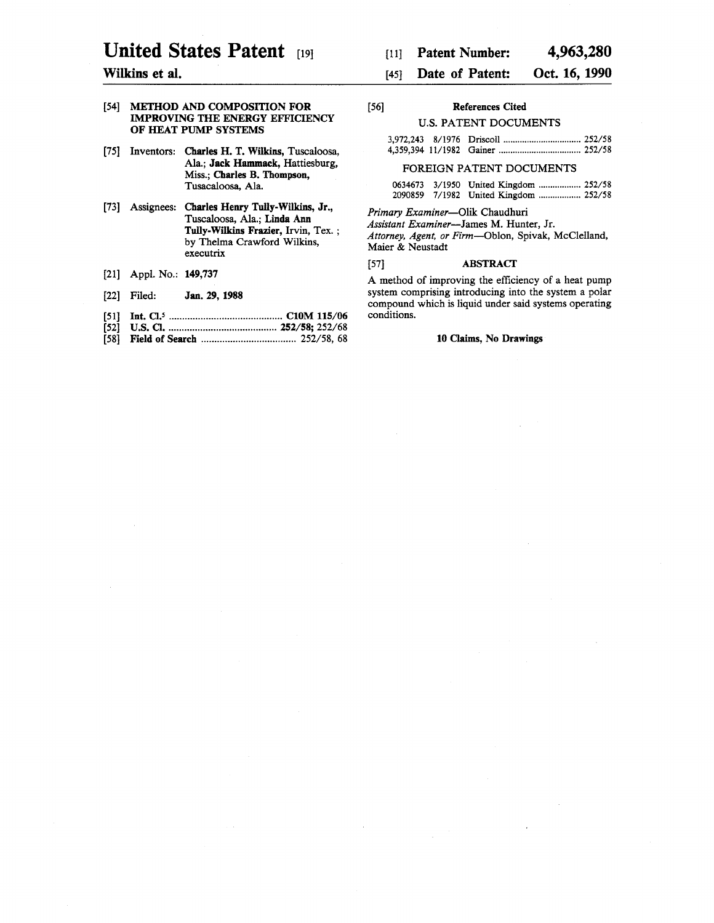# United States Patent [19]

### Wilkins et al.

#### [54] METHOD AND COMPOSITION FOR IMPROVING THE ENERGY EFFICIENCY OF HEAT PUMP SYSTEMS

- [75] Inventors: Charles H. T. Wilkins, Tuscaloosa, Ala.; Jack Hammack, Hattiesburg, Miss.; Charles B. Thompson, Tusacaloosa, Ala.
- [73] Assignees: Charles Henry Tully-Wilkins, Jr., Tuscaloosa, Ala.; Linda Ann Tully-Wilkins Frazier, Irvin, Tex. ; by Thelma Crawford Wilkins, executrix
- [21] Appl. No.: 149,737
- [22] Filed: Jan. 29, 1988
- [51] Int. *CI.s* ........................................... ClOM 115/06
- [52] U.S. Cl .......................................... 252/58; 252/68
- [58] Field of Search .................................... 252/58, 68

#### [45] Date of Patent: Oct. 16, 1990

| $[56]$ | References Cited             |  |
|--------|------------------------------|--|
|        | <b>U.S. PATENT DOCUMENTS</b> |  |

#### FOREIGN PATENT DOCUMENTS

|  | 0634673 3/1950 United Kingdom  252/58 |  |
|--|---------------------------------------|--|
|  | 2090859 7/1982 United Kingdom  252/58 |  |

*Primary Examiner-Olik* Chaudhuri

*Assistant Examiner-James* M. Hunter, Jr. *Attorney, Agent, or Firm-Oblon,* Spivak, McClelland, Maier & Neustadt

#### [57] ABSTRACT

A method of improving the efficiency of a heat pump system comprising introducing into the system a polar compound which is liquid under said systems operating conditions.

#### 10 Claims, No Drawings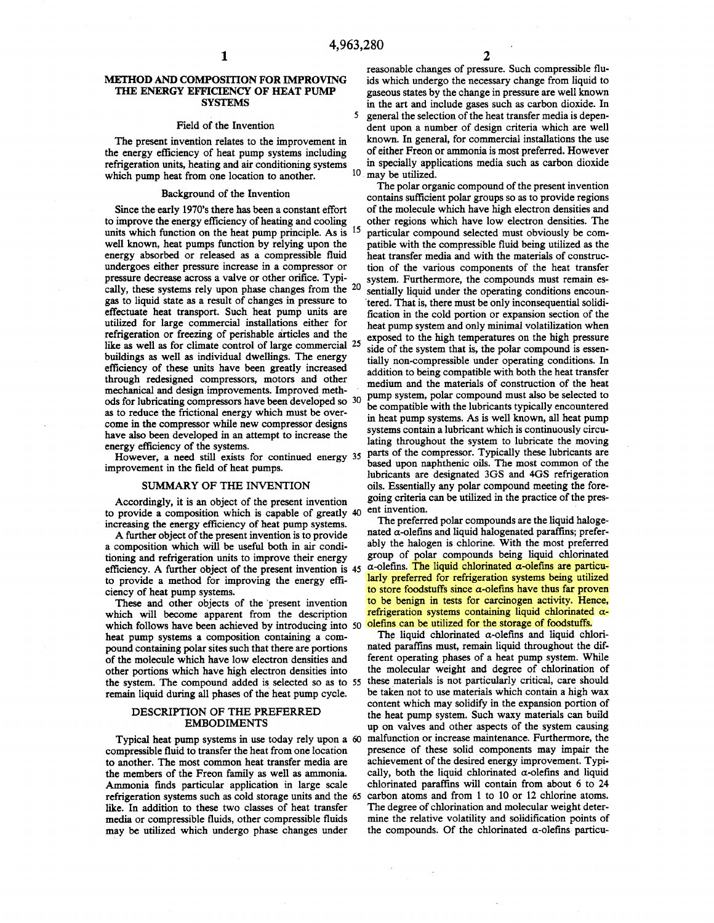#### METHOD AND COMPOSffiON FOR IMPROVING THE ENERGY EFFICIENCY OF HEAT PUMP **SYSTEMS**

#### Field of the Invention

The present invention relates to the improvement in the energy efficiency of heat pump systems including refrigeration units, heating and air conditioning systems which pump heat from one location to another.

#### Background of the Invention

Since the early 1970's there has been a constant effort to improve the energy efficiency of heating and cooling units which function on the heat pump principle. As is <sup>15</sup> well known, heat pumps function by relying upon the energy absorbed or released as a compressible fluid undergoes either pressure increase in a compressor or pressure decrease across a valve or other orifice. Typically, these systems rely upon phase changes from the <sup>20</sup> gas to liquid state as a result of changes in pressure to effectuate heat transport. Such heat pump units are utilized for large commercial installations either for refrigeration or freezing of perishable articles and the like as well as for climate control of large commercial 25 buildings as well as individual dwellings. The energy efficiency of these units have been greatly increased through redesigned compressors, motors and other mechanical and design improvements. Improved methods for lubricating compressors have been developed so 30 as to reduce the frictional energy which must be overcome in the compressor while new compressor designs have also been developed in an attempt to increase the energy efficiency of the systems.

However, a need still exists for continued energy 35 improvement in the field of heat pumps.

#### SUMMARY OF THE INVENTION

Accordingly, it is an object of the present invention to provide a composition which is capable of greatly 40 ent invention. increasing the energy efficiency of heat pump systems.

A further object of the present invention is to provide a composition which will be useful both in air conditioning and refrigeration units to improve their energy efficiency. A further object of the present invention is 45 to provide a method for improving the energy efficiency of heat pump systems.

These and other objects of the 'present invention which will become apparent from the description which follows have been achieved by introducing into 50 heat pump systems a composition containing a compound containing polar sites such that there are portions of the molecule which have low electron densities and other portions which have high electron densities into the system. The compound added is selected so as to 55 these materials is not particularly critical, care should remain liquid during all phases of the heat pump cycle.

#### DESCRIPTION OF THE PREFERRED EMBODIMENTS

Typical heat pump systems in use today rely upon a 60 compressible fluid to transfer the heat from one location to another. The most common heat transfer media are the members of the Freon family as well as ammonia. Ammonia finds particular application in large scale refrigeration systems such as cold storage units and the 65 like. In addition to these two classes of heat transfer media or compressible fluids, other compressible fluids may be utilized which undergo phase changes under

reasonable changes of pressure. Such compressible fluids which undergo the necessary change from liquid to gaseous states by the change in pressure are well known in the art and include gases such as carbon dioxide. In 5 general the selection of the heat transfer media is dependent upon a number of design criteria which are well known. In general, for commercial installations the use of either Freon or ammonia is most preferred. However in specially applications media such as carbon dioxide 10 may be utilized.

The polar organic compound of the present invention contains sufficient polar groups so as to provide regions of the molecule which have high electron densities and other regions which have low electron densities. The particular compound selected must obviously be compatible with the compressible fluid being utilized as the heat transfer media and with the materials of construction of the various components of the heat transfer system. Furthermore, the compounds must remain essentially liquid under the operating conditions encoun- 'tered. That is, there must be only inconsequential solidification in the cold portion or expansion section of the heat pump system and only minimal volatilization when exposed to the high temperatures on the high pressure side of the system that is, the polar compound is essentially non-compressible under operating conditions. In addition to being compatible with both the heat transfer medium and the materials of construction of the heat pump system, polar compound must also be selected to be compatible with the lubricants typically encountered in heat pump systems. As is well known, all heat pump systems contain a lubricant which is continuously circulating throughout the system to lubricate the moving parts of the compressor. Typically these lubricants are based upon naphthenic oils. The most common of the lubricants are designated 3GS and 4GS refrigeration oils. Essentially any polar compound meeting the foregoing criteria can be utilized in the practice of the pres-

The preferred polar compounds are the liquid halogenated  $\alpha$ -olefins and liquid halogenated paraffins; preferably the halogen is chlorine. With the most preferred group of polar compounds being liquid chlorinated  $\alpha$ -olefins. The liquid chlorinated  $\alpha$ -olefins are particularly preferred for refrigeration systems being utilized to store foodstuffs since  $\alpha$ -olefins have thus far proven to be benign in tests for carcinogen activity. Hence, refrigeration systems containing liquid chlorinated  $\alpha$ olefins can be utilized for the storage of foodstuffs.

The liquid chlorinated  $\alpha$ -olefins and liquid chlorinated paraffms must, remain liquid throughout the different operating phases of a heat pump system. While the molecular weight and degree of chlorination of be taken not to use materials which contain a high wax content which may solidify in the expansion portion of the heat pump system. Such waxy materials can build up on valves and other aspects of the system causing malfunction or increase maintenance. Furthermore, the presence of these solid components may impair the achievement of the desired energy improvement. Typically, both the liquid chlorinated  $\alpha$ -olefins and liquid chlorinated paraffins will contain from about 6 to 24 carbon atoms and from 1 to 10 or 12 chlorine atoms. The degree of chlorination and molecular weight determine the relative volatility and solidification points of the compounds. Of the chlorinated  $\alpha$ -olefins particu-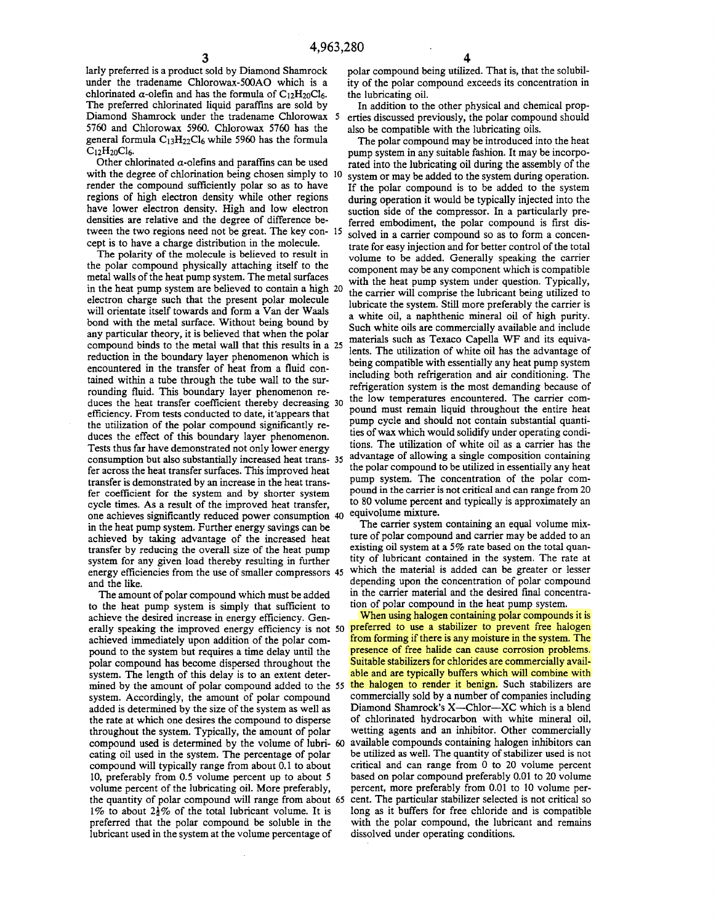larly preferred is a product sold by Diamond Shamrock under the tradename Chlorowax-500AO which is a chlorinated  $\alpha$ -olefin and has the formula of C<sub>12</sub>H<sub>20</sub>Cl<sub>6</sub>. The preferred chlorinated liquid paraffins are sold by Diamond Shamrock under the tradename Chlorowax 5 5760 and Chlorowax 5960. Chlorowax 5760 has the general formula  $C_1$ <sub>3</sub>H<sub>22</sub>Cl<sub>6</sub> while 5960 has the formula  $C_{12}H_{20}Cl_6.$ 

Other chlorinated  $\alpha$ -olefins and paraffins can be used with the degree of chlorination being chosen simply to 10 render the compound sufficiently polar so as to have regions of high electron density while other regions have lower electron density. High and low electron densities are relative and the degree of difference between the two regions need not be great. The key con- 15 cept is to have a charge distribution in the molecule.

The polarity of the molecule is believed to result in the polar compound physically attaching itself to the metal walls of the heat pump system. The metal surfaces in the heat pump system are believed to contain a high 20 electron charge such that the present polar molecule will orientate itself towards and form a Van der Waals bond with the metal surface. Without being bound by any particular theory, it is believed that when the polar compound binds to the metal wall that this results in a 25 reduction in the boundary layer phenomenon which is encountered in the transfer of heat from a fluid contained within a tube through the tube wall to the surrounding fluid. This boundary layer phenomenon reduces the heat transfer coefficient thereby decreasing 30 efficiency. From tests conducted to date, it'appears that the utilization of the polar compound significantly reduces the effect of this boundary layer phenomenon. Tests thus far have demonstrated not only lower energy consumption but also substantially increased heat trans- 35 fer across the heat transfer surfaces. This improved heat transfer is demonstrated by an increase in the heat transfer coefficient for the system and by shorter system cycle times. As a result of the improved heat transfer, one achieves significantly reduced power consumption 40 in the heat pump system. Further energy savings can be achieved by taking advantage of the increased heat transfer by reducing the overall size of the heat pump system for any given load thereby resulting in further energy efficiencies from the use of smaller compressors 45 and the like.

The amount of polar compound which must be added to the heat pump system is simply that sufficient to achieve the desired increase in energy efficiency. Generally speaking the improved energy efficiency is not 50 achieved immediately upon addition of the polar compound to the system but requires a time delay until the polar compound has become dispersed throughout the system. The length of this delay is to an extent determined by the amount of polar compound added to the *55*  system. Accordingly, the amount of polar compound added is determined by the size of the system as well as the rate at which one desires the compound to disperse throughout the system. Typically, the amount of polar compound used is determined by the volume of lubri- 60 available compounds containing halogen inhibitors can eating oil used in the system. The percentage of polar compound will typically range from about 0.1 to about 10, preferably from 0.5 volume percent up to about 5 volume percent of the lubricating oil. More preferably, the quantity of polar compound will range from about 65 1% to about  $2\frac{1}{2}\%$  of the total lubricant volume. It is preferred that the polar compound be soluble in the lubricant used in the system at the volume percentage of

polar compound being utilized. That is, that the solubility of the polar compound exceeds its concentration in the lubricating oil.

In addition to the other physical and chemical properties discussed previously, the polar compound should also be compatible with the lubricating oils.

The polar compound may be introduced into the heat pump system in any suitable fashion. It may be incorporated into the lubricating oil during the assembly of the system or may be added to the system during operation. If the polar compound is to be added to the system during operation it would be typically injected into the suction side of the compressor. In a particularly preferred embodiment, the polar compound is first dissolved in a carrier compound so as to form a concentrate for easy injection and for better control of the total volume to be added. Generally speaking the carrier component may be any component which is compatible with the heat pump system under question. Typically, the carrier will comprise the lubricant being utilized to lubricate the system. Still more preferably the carrier is a white oil, a naphthenic mineral oil of high purity. Such white oils are commercially available and include materials such as Texaco Capella WF and its equivalents. The utilization of white oil has the advantage of being compatible with essentially any heat pump system including both refrigeration and air conditioning. The refrigeration system is the most demanding because of the low temperatures encountered. The carrier compound must remain liquid throughout the entire heat pump cycle and should not contain substantial quantities of wax which would solidify under operating conditions. The utilization of white oil as a carrier has the advantage of allowing a single composition containing the polar compound to be utilized in essentially any heat pump system. The concentration of the polar compound in the carrier is not critical and can range from 20 to 80 volume percent and typically is approximately an equivolume mixture.

The carrier system containing an equal volume mixture of polar compound and carrier may be added to an existing oil system at a 5% rate based on the total quantity of lubricant contained in the system. The rate at which the material is added can be greater or lesser depending upon the concentration of polar compound in the carrier material and the desired final concentration of polar compound in the heat pump system.

When using halogen containing polar compounds it is preferred to use a stabilizer to prevent free halogen from forming if there is any moisture in the system. The presence of free halide can cause corrosion problems. Suitable stabilizers for chlorides are commercially available and are typically buffers which will combine with the halogen to render it benign. Such stabilizers are commercially sold by a number of companies including Diamond Shamrock's X-Chlor-XC which is a blend of chlorinated hydrocarbon with white mineral oil, wetting agents and an inhibitor. Other commercially be utilized as well. The quantity of stabilizer used is not critical and can range from 0 to 20 volume percent based on polar compound preferably 0.01 to 20 volume percent, more preferably from 0.01 to 10 volume percent. The particular stabilizer selected is not critical so long as it buffers for free chloride and is compatible with the polar compound, the lubricant and remains dissolved under operating conditions.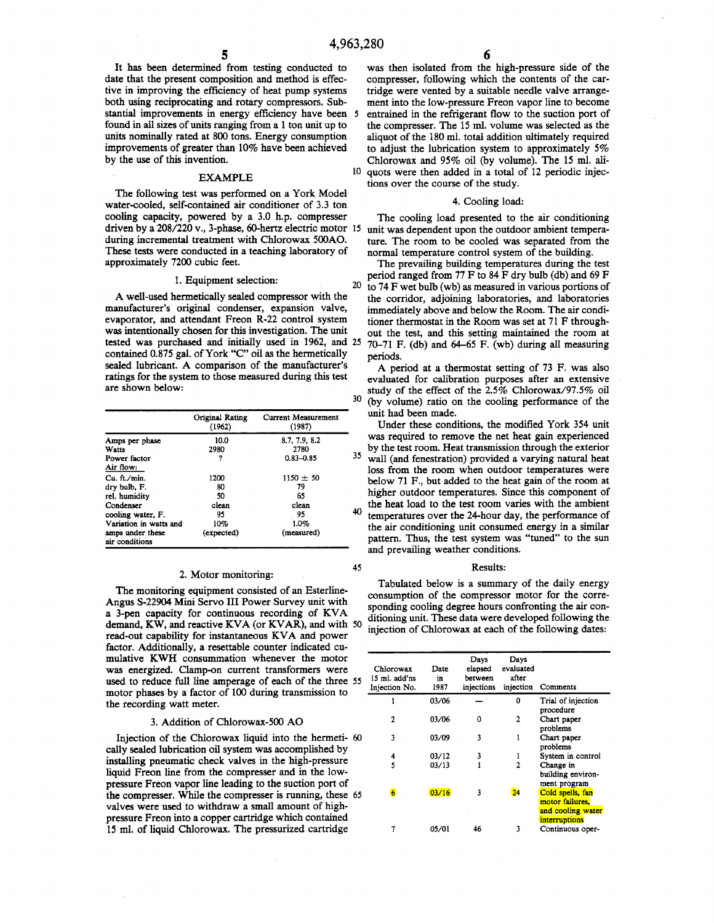45

It has been determined from testing conducted to date that the present composition and method is effective in improving the efficiency of heat pump systems both using reciprocating and rotary compressors. Substantial improvements in energy efficiency have been 5 found in all sizes of units ranging from a 1 ton unit up to units nominally rated at 800 tons. Energy consumption improvements of greater than 10% have been achieved by the use of this invention.

The following test was performed on a York Model water-cooled, self-contained air conditioner of 3.3 ton cooling capacity, powered by a 3.0 h.p. compresser driven by a 208/220 v., 3-phase, 60-hertz electric motor 15 during incremental treatment with Chlorowax 500AO. These tests were conducted in a teaching laboratory of approximately 7200 cubic feet.

## 1. Equipment selection: 20

A well-used hermetically sealed compressor with the manufacturer's original condenser, expansion valve, evaporator, and attendant Freon R-22 control system was intentionally chosen for this investigation. The unit tested was purchased and initially used in 1962, and 25 contained 0.875 gal. of York "C" oil as the hermetically sealed lubricant. A comparison of the manufacturer's ratings for the system to those measured during this test are shown below:

|                                    | Original Rating<br>(1962) | Current Measurement<br>(1987) |   |
|------------------------------------|---------------------------|-------------------------------|---|
| Amps per phase                     | 10.0                      | 8.7.7.9.8.2                   |   |
| Watts                              | 2980                      | 2780                          |   |
| Power factor                       | ?                         | $0.83 - 0.85$                 | 3 |
| Air flow:                          |                           |                               |   |
| Cu. ft./min.                       | 1200                      | $1150 \pm 50$                 |   |
| dry bulb, F.                       | 80                        | 79                            |   |
| rel. humidity                      | 50                        | 65                            |   |
| Condenser                          | clean                     | clean                         |   |
| cooling water, F.                  | 95                        | 95                            | 4 |
| Variation in watts and             | 10%                       | 1.0%                          |   |
| amps under these<br>air conditions | (expected)                | (measured)                    |   |

#### 2. Motor monitoring:

The monitoring equipment consisted of an Esterline-Angus S-22904 Mini Servo III Power Survey unit with a 3-pen capacity for continuous recording of KVA demand, KW, and reactive KVA (or KVAR), and with 50 read-out capability for instantaneous KVA and power factor. Additionally, a resettable counter indicated cumulative KWH consummation whenever the motor was energized. Clamp-on current transformers were used to reduce full line amperage of each of the three *55*  motor phases by a factor of 100 during transmission to the recording watt meter.

#### 3. Addition of Chlorowax-500 AO

Injection of the Chlorowax liquid into the hermeti- 60 cally sealed lubrication oil system was accomplished by installing pneumatic check valves in the high-pressure liquid Freon line from the compresser and in the lowpressure Freon vapor line leading to the suction port of the compresser. While the compresser is running, these *65*  valves were used to withdraw a small amount of highpressure Freon into a copper cartridge which contained 15 ml. of liquid Chlorowax. The pressurized cartridge

was then isolated from the high-pressure side of the compresser, following which the contents of the cartridge were vented by a suitable needle valve arrangement into the low-pressure Freon vapor line to become *5* entrained in the refrigerant flow to the suction port of the compresser. The 15 ml. volume was selected as the aliquot of the 180 ml. total addition ultimately required to adjust the lubrication system to approximately 5% Chlorowax and 95% oil (by volume). The 15 ml. ali-EXAMPLE <sup>10</sup> quots were then added in a total of 12 periodic injections over the course of the study.

#### 4. Cooling load:

The cooling load presented to the air conditioning unit was dependent upon the outdoor ambient temperature. The room to be cooled was separated from the normal temperature control system of the building.

The prevailing building temperatures during the test period ranged from 77 F to 84 F dry bulb (db) and 69 F to 74 F wet bulb (wb) as measured in various portions of the corridor, adjoining laboratories, and laboratories immediately above and below the Room. The air conditioner thermostat in the Room was set at 71 F throughout the test, and this setting maintained the room at 70-71 F. (db) and 64-65 F. (wb) during all measuring periods.

A period at a thermostat setting of 73 F. was also evaluated for calibration purposes after an extensive study of the effect of the 2.5% Chlorowax/97.5% oil 30 (by volume) ratio on the cooling performance of the cooling performance of the unit had been made.

Under these conditions, the modified York 354 unit was required to remove the net heat gain experienced by the test room. Heat transmission through the exterior such that the exterior such that wall (and fenestration) provided a varying natural heat loss from the room when outdoor temperatures were below 71 F., but added to the heat gain of the room at higher outdoor temperatures. Since this component of the heat load to the test room varies with the ambient  $^{0}$  temperatures over the 24-hour day, the performance of the air conditioning unit consumed energy in a similar pattern. Thus, the test system was "tuned" to the sun and prevailing weather conditions.

#### Results:

Tabulated below is a summary of the daily energy consumption of the compressor motor for the corresponding cooling degree hours confronting the air conditioning unit. These data were developed following the injection of Chlorowax at each of the following dates:

| Chlorowax<br>15 ml. add'ns<br>Injection No. | Date<br>in<br>1987 | Days<br>elapsed<br>between<br>injections | Days<br>evaluated<br>after<br>injection | Comments                                                                  |
|---------------------------------------------|--------------------|------------------------------------------|-----------------------------------------|---------------------------------------------------------------------------|
|                                             | 03/06              |                                          | 0                                       | Trial of injection<br>procedure                                           |
| 2                                           | 03/06              | 0                                        | 2                                       | Chart paper<br>problems                                                   |
| 3                                           | 03/09              | 3                                        | 1                                       | Chart paper<br>problems                                                   |
| 4                                           | 03/12              | 3                                        | 1                                       | System in control                                                         |
| 5                                           | 03/13              |                                          | 2                                       | Change in<br>building environ-<br>ment program                            |
| 6                                           | 03/16              | 3                                        | 24                                      | Cold spells, fan<br>motor failures.<br>and cooling water<br>interruptions |
| 7                                           | 05/01              | 46                                       | 3                                       | Continuous oper-                                                          |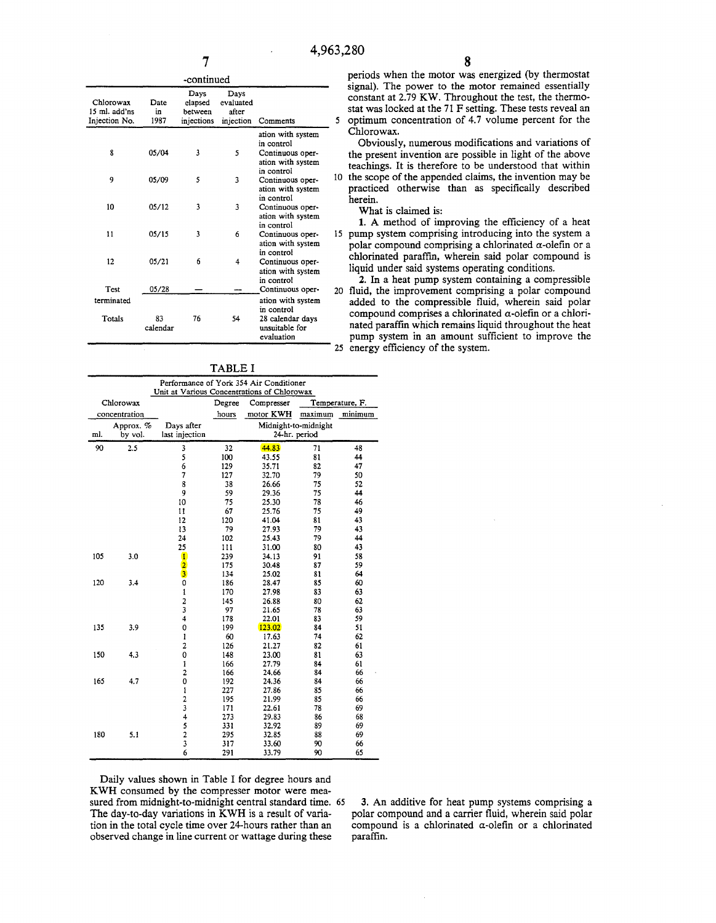|                                             |                    | -continued                               |                                         |                                                                                     |   |
|---------------------------------------------|--------------------|------------------------------------------|-----------------------------------------|-------------------------------------------------------------------------------------|---|
| Chlorowax<br>15 ml. add'ns<br>Injection No. | Date<br>in<br>1987 | Days<br>elapsed<br>between<br>injections | Days<br>evaluated<br>after<br>injection | Comments                                                                            |   |
| 8                                           | 05/04              | 3                                        | 5                                       | ation with system<br>in control<br>Continuous oper-<br>ation with system            |   |
| 9                                           | 05/09              | 5                                        | 3                                       | in control<br>Continuous oper-<br>ation with system<br>in control                   | 1 |
| 10                                          | 05/12              | 3                                        | 3                                       | Continuous oper-<br>ation with system<br>in control                                 |   |
| 11                                          | 05/15              | 3                                        | 6                                       | Continuous oper-<br>ation with system<br>in control                                 |   |
| 12                                          | 05/21              | 6                                        | 4                                       | Continuous oper-<br>ation with system<br>in control                                 |   |
| Test                                        | 05/28              |                                          |                                         | Continuous oper-                                                                    | 2 |
| terminated<br>Totals                        | 83<br>calendar     | 76                                       | 54                                      | ation with system<br>in control<br>28 calendar days<br>unsuitable for<br>evaluation |   |
|                                             |                    |                                          |                                         |                                                                                     |   |

TABLE I

| Performance of York 354 Air Conditioner<br>Unit at Various Concentrations of Chlorowax |               |                                            |        |                      |         |                 |
|----------------------------------------------------------------------------------------|---------------|--------------------------------------------|--------|----------------------|---------|-----------------|
| Chlorowax                                                                              |               |                                            | Degree | Compresser           |         | Temperature, F. |
|                                                                                        | concentration |                                            | hours  | motor KWH            | maximum | minimum         |
|                                                                                        | Арргох. %     | Days after                                 |        | Midnight-to-midnight |         |                 |
| ml.                                                                                    | by vol.       | last injection                             |        | 24-hr. period        |         |                 |
| 90                                                                                     | 2.5           | 3                                          | 32     | 44.83                | 71      | 48              |
|                                                                                        |               | $\frac{5}{6}$                              | 100    | 43.55                | 81      | 44              |
|                                                                                        |               |                                            | 129    | 35.71                | 82      | 47              |
|                                                                                        |               | $\overline{\phantom{a}}$                   | 127    | 32.70                | 79      | 50              |
|                                                                                        |               | 8                                          | 38     | 26.66                | 75      | 52              |
|                                                                                        |               | 9                                          | 59     | 29.36                | 75      | 44              |
|                                                                                        |               | 10                                         | 75     | 25.30                | 78      | 46              |
|                                                                                        |               | 11                                         | 67     | 25.76                | 75      | 49              |
|                                                                                        |               | 12                                         | 120    | 41.04                | 81      | 43              |
|                                                                                        |               | 13                                         | 79     | 27.93                | 79      | 43              |
|                                                                                        |               | 24                                         | 102    | 25.43                | 79      | 44              |
|                                                                                        |               | 25                                         | 111    | 31.00                | 80      | 43              |
| 105                                                                                    | 3.0           | T                                          | 239    | 34.13                | 91      | 58              |
|                                                                                        |               | $\overline{\mathbf{2}}$                    | 175    | 30.48                | 87      | 59              |
|                                                                                        |               | $\overline{\mathbf{3}}$                    | 134    | 25.02                | 81      | 64              |
| 120                                                                                    | 3.4           | $\overline{0}$                             | 186    | 28.47                | 85      | 60              |
|                                                                                        |               |                                            | 170    | 27.98                | 83      | 63              |
|                                                                                        |               | $\begin{array}{c} 1 \\ 2 \\ 3 \end{array}$ | 145    | 26.88                | 80      | 62              |
|                                                                                        |               |                                            | 97     | 21.65                | 78      | 63              |
|                                                                                        |               | $\overline{4}$                             | 178    | 22.01                | 83      | 59              |
| 135                                                                                    | 3.9           | $\mathbf 0$                                | 199    | 123.02               | 84      | 51              |
|                                                                                        |               | ı                                          | 60     | 17.63                | 74      | 62              |
|                                                                                        |               | $\overline{c}$                             | 126    | 21.27                | 82      | 61              |
| 150                                                                                    | 4.3           | 0                                          | 148    | 23.00                | 81      | 63              |
|                                                                                        |               | 1                                          | 166    | 27.79                | 84      | 61              |
|                                                                                        |               | 2                                          | 166    | 24.66                | 84      | 66              |
| 165                                                                                    | 4.7           | 0                                          | 192    | 24.36                | 84      | 66              |
|                                                                                        |               |                                            | 227    | 27.86                | 85      | 66              |
|                                                                                        |               |                                            | 195    | 21.99                | 85      | 66              |
|                                                                                        |               |                                            | 171    | 22.61                | 78      | 69              |
|                                                                                        |               |                                            | 273    | 29.83                | 86      | 68              |
|                                                                                        |               | 1234523                                    | 331    | 32.92                | 89      | 69              |
| 180                                                                                    | 5.1           |                                            | 295    | 32.85                | 88      | 69              |
|                                                                                        |               |                                            | 317    | 33.60                | 90      | 66              |
|                                                                                        |               | 6                                          | 291    | 33.79                | 90      | 65              |

Daily values shown in Table I for degree hours and KWH consumed by the compresser motor were measured from midnight-to-midnight central standard time. 65 3. An additive for heat pump systems comprising a The day-to-day variations in KWH is a result of varia-<br>polar compound and a carrier fluid, wherein said polar observed change in line current or wattage during these

tion in the total cycle time over 24-hours rather than an compound is a chlorinated  $\alpha$ -olefin or a chlorinated observed change in line current or wattage during these paraffin.

periods when the motor was energized (by thermostat signal). The power to the motor remained essentially Days Days Days Signal). The power to the motor remained essentially<br>
Days Days Days Chlorowax Date elapsed evaluated constant at 2.79 KW. Throughout the test, the thermo-<br>
constant at 2.79 KW. Throughout the test, the ther tat was locked at the 71 F setting. These tests reveal an  $\frac{5}{10}$  continum concentration of 4.7 volume percent for the optimum concentration of 4.7 volume percent for the Chlorowax.

> Obviously, numerous modifications and variations of the present invention are possible in light of the above teachings. It is therefore to be understood that within 10 the scope of the appended claims, the invention may be practiced otherwise than as specifically described herein.<br>What is claimed is:

1. A method of improving the efficiency of a heat is pump system comprising introducing into the system a polar compound comprising a chlorinated  $\alpha$ -olefin or a chlorinated paraffin, wherein said polar compound is liquid under said systems operating conditions.<br>2. In a heat pump system containing a compressible

20 fluid, the improvement comprising a polar compound added to the compressible fluid, wherein said polar compound comprises a chlorinated  $\alpha$ -olefin or a chlorinated paraffin which remains liquid throughout the heat pump system in an amount sufficient to improve the 25 energy efficiency of the system.